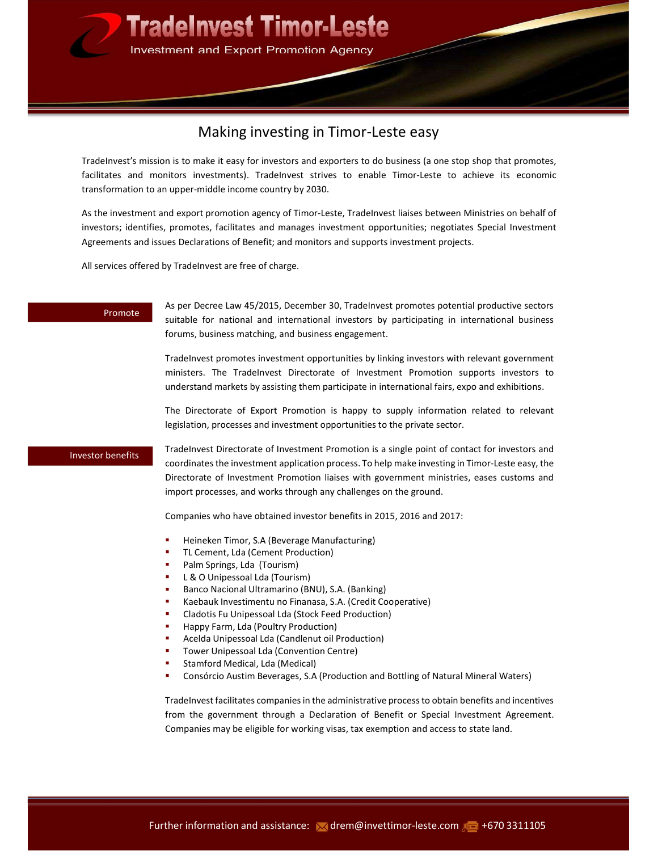

## Making investing in Timor-Leste easy

TradeInvest's mission is to make it easy for investors and exporters to do business (a one stop shop that promotes, facilitates and monitors investments). TradeInvest strives to enable Timor-Leste to achieve its economic transformation to an upper-middle income country by 2030.

As the investment and export promotion agency of Timor-Leste, TradeInvest liaises between Ministries on behalf of investors; identifies, promotes, facilitates and manages investment opportunities; negotiates Special Investment Agreements and issues Declarations of Benefit; and monitors and supports investment projects.

All services offered by TradeInvest are free of charge.

As per Decree Law 45/2015, December 30, TradeInvest promotes potential productive sectors Promote<br>
suitable for national and international investors by participating in international business forums, business matching, and business engagement.

> TradeInvest promotes investment opportunities by linking investors with relevant government ministers. The TradeInvest Directorate of Investment Promotion supports investors to understand markets by assisting them participate in international fairs, expo and exhibitions.

> The Directorate of Export Promotion is happy to supply information related to relevant legislation, processes and investment opportunities to the private sector.

## Investor benefits

TradeInvest Directorate of Investment Promotion is a single point of contact for investors and coordinates the investment application process. To help make investing in Timor-Leste easy, the Directorate of Investment Promotion liaises with government ministries, eases customs and import processes, and works through any challenges on the ground.

Companies who have obtained investor benefits in 2015, 2016 and 2017:

- Heineken Timor, S.A (Beverage Manufacturing)
- TL Cement, Lda (Cement Production)
- Palm Springs, Lda (Tourism)
- L & O Unipessoal Lda (Tourism)
- Banco Nacional Ultramarino (BNU), S.A. (Banking)
- Kaebauk Investimentu no Finanasa, S.A. (Credit Cooperative)
- Cladotis Fu Unipessoal Lda (Stock Feed Production)
- Happy Farm, Lda (Poultry Production)
- Acelda Unipessoal Lda (Candlenut oil Production)
- Tower Unipessoal Lda (Convention Centre)
- Stamford Medical, Lda (Medical)
- Consórcio Austim Beverages, S.A (Production and Bottling of Natural Mineral Waters)

TradeInvest facilitates companies in the administrative process to obtain benefits and incentives from the government through a Declaration of Benefit or Special Investment Agreement. Companies may be eligible for working visas, tax exemption and access to state land.